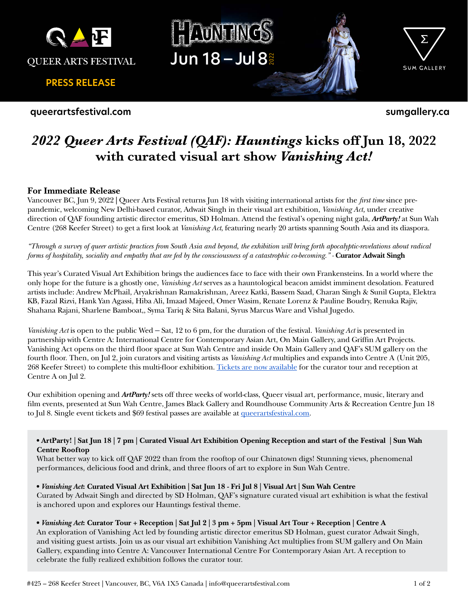

**PRESS RELEASE**

**queerartsfestival.com**





SUM GALLERY

**sumgallery.ca**

# *2022 Queer Arts Festival (QAF): Hauntings* **kicks off Jun 18, 2022 with curated visual art show** *Vanishing Act!*

# **For Immediate Release**

Vancouver BC, Jun 9, 2022 **|** Queer Arts Festival returns Jun 18 with visiting international artists for the *first time* since prepandemic, welcoming New Delhi-based curator, Adwait Singh in their visual art exhibition, *Vanishing Act,* under creative direction of QAF founding artistic director emeritus, SD Holman. Attend the festival's opening night gala, *ArtParty!* at Sun Wah Centre (268 Keefer Street) to get a first look at *Vanishing Act*, featuring nearly 20 artists spanning South Asia and its diaspora.

*"Through a survey of queer artistic practices from South Asia and beyond, the exhibition will bring forth apocalyptic-revelations about radical forms of hospitality, sociality and empathy that are fed by the consciousness of a catastrophic co-becoming.*" - **Curator Adwait Singh** 

This year's Curated Visual Art Exhibition brings the audiences face to face with their own Frankensteins. In a world where the only hope for the future is a ghostly one, *Vanishing Act* serves as a hauntological beacon amidst imminent desolation. Featured artists include: Andrew McPhail, Aryakrishnan Ramakrishnan, Areez Katki, Bassem Saad, Charan Singh & Sunil Gupta, Elektra KB, Fazal Rizvi, Hank Yan Agassi, Hiba Ali, Imaad Majeed, Omer Wasim, Renate Lorenz & Pauline Boudry, Renuka Rajiv, Shahana Rajani, Sharlene Bamboat,, Syma Tariq & Sita Balani, Syrus Marcus Ware and Vishal Jugedo.

*Vanishing Act* is open to the public Wed – Sat, 12 to 6 pm, for the duration of the festival. *Vanishing Act* is presented in partnership with Centre A: International Centre for Contemporary Asian Art, On Main Gallery, and Griffin Art Projects. Vanishing Act opens on the third floor space at Sun Wah Centre and inside On Main Gallery and QAF's SUM gallery on the fourth floor. Then, on Jul 2, join curators and visiting artists as *Vanishing Act* multiplies and expands into Centre A (Unit 205, 268 Keefer Street) to complete this multi-floor exhibition. [Tickets are now available](https://www.eventbrite.ca/e/vanishing-act-curator-tour-reception-qaf-2022-tickets-345725804187?aff=ebdsoporgprofile) for the curator tour and reception at Centre A on Jul 2.

Our exhibition opening and *ArtParty!* sets off three weeks of world-class, Queer visual art, performance, music, literary and film events, presented at Sun Wah Centre, James Black Gallery and Roundhouse Community Arts & Recreation Centre Jun 18 to Jul 8. Single event tickets and \$69 festival passes are available at [queerartsfestival.com.](http://www.queerartsfestival.com)

## **• ArtParty! | Sat Jun 18 | 7 pm | Curated Visual Art Exhibition Opening Reception and start of the Festival | Sun Wah Centre Rooftop**

What better way to kick off QAF 2022 than from the rooftop of our Chinatown digs! Stunning views, phenomenal performances, delicious food and drink, and three floors of art to explore in Sun Wah Centre.

# **•** *Vanishing Act***: Curated Visual Art Exhibition | Sat Jun 18 - Fri Jul 8 | Visual Art | Sun Wah Centre**

Curated by Adwait Singh and directed by SD Holman, QAF's signature curated visual art exhibition is what the festival is anchored upon and explores our Hauntings festival theme.

## **•** *Vanishing Act***: Curator Tour + Reception | Sat Jul 2 | 3 pm + 5pm | Visual Art Tour + Reception | Centre A**

An exploration of Vanishing Act led by founding artistic director emeritus SD Holman, guest curator Adwait Singh, and visiting guest artists. Join us as our visual art exhibition Vanishing Act multiplies from SUM gallery and On Main Gallery, expanding into Centre A: Vancouver International Centre For Contemporary Asian Art. A reception to celebrate the fully realized exhibition follows the curator tour.